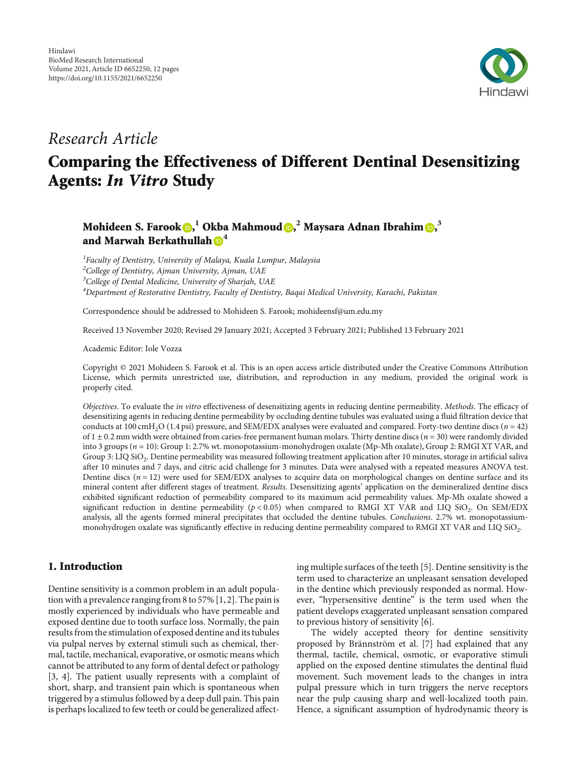

## Research Article

# Comparing the Effectiveness of Different Dentinal Desensitizing Agents: In Vitro Study

### Mohideen S. Farook **D[,](https://orcid.org/0000-0002-6080-8218)**  $^1$  **Okba Mahmoud D,**  $^2$  **Maysara Adnan Ibrahim D,**  $^3$ and Marwah Berkathullah **[4](https://orcid.org/0000-0002-7567-315X)**

<sup>1</sup> Faculty of Dentistry, University of Malaya, Kuala Lumpur, Malaysia  $^{2}$ College of Dentistry, Ajman University, Ajman, UAE <sup>3</sup>College of Dental Medicine, University of Sharjah, UAE <sup>4</sup>Department of Restorative Dentistry, Faculty of Dentistry, Bagai Medical University, Karachi, Pakistan

Correspondence should be addressed to Mohideen S. Farook; mohideensf@um.edu.my

Received 13 November 2020; Revised 29 January 2021; Accepted 3 February 2021; Published 13 February 2021

Academic Editor: Iole Vozza

Copyright © 2021 Mohideen S. Farook et al. This is an open access article distributed under the [Creative Commons Attribution](https://creativecommons.org/licenses/by/4.0/) [License,](https://creativecommons.org/licenses/by/4.0/) which permits unrestricted use, distribution, and reproduction in any medium, provided the original work is properly cited.

Objectives. To evaluate the in vitro effectiveness of desensitizing agents in reducing dentine permeability. Methods. The efficacy of desensitizing agents in reducing dentine permeability by occluding dentine tubules was evaluated using a fluid filtration device that conducts at 100 cmH<sub>2</sub>O (1.4 psi) pressure, and SEM/EDX analyses were evaluated and compared. Forty-two dentine discs ( $n = 42$ ) of 1±0*:*2 mm width were obtained from caries-free permanent human molars. Thirty dentine discs (*n* = 30) were randomly divided into 3 groups ( $n = 10$ ): Group 1: 2.7% wt. monopotassium-monohydrogen oxalate (Mp-Mh oxalate), Group 2: RMGI XT VAR, and Group 3: LIQ SiO<sub>2</sub>. Dentine permeability was measured following treatment application after 10 minutes, storage in artificial saliva after 10 minutes and 7 days, and citric acid challenge for 3 minutes. Data were analysed with a repeated measures ANOVA test. Dentine discs ( $n = 12$ ) were used for SEM/EDX analyses to acquire data on morphological changes on dentine surface and its mineral content after different stages of treatment. Results. Desensitizing agents' application on the demineralized dentine discs exhibited significant reduction of permeability compared to its maximum acid permeability values. Mp-Mh oxalate showed a significant reduction in dentine permeability ( $p < 0.05$ ) when compared to RMGI XT VAR and LIQ SiO<sub>2</sub>. On SEM/EDX analysis, all the agents formed mineral precipitates that occluded the dentine tubules. Conclusions. 2.7% wt. monopotassiummonohydrogen oxalate was significantly effective in reducing dentine permeability compared to RMGI XT VAR and LIQ  $SiO<sub>2</sub>$ .

#### 1. Introduction

Dentine sensitivity is a common problem in an adult population with a prevalence ranging from 8 to 57% [\[1, 2](#page-11-0)]. The pain is mostly experienced by individuals who have permeable and exposed dentine due to tooth surface loss. Normally, the pain results from the stimulation of exposed dentine and its tubules via pulpal nerves by external stimuli such as chemical, thermal, tactile, mechanical, evaporative, or osmotic means which cannot be attributed to any form of dental defect or pathology [\[3](#page-11-0), [4](#page-11-0)]. The patient usually represents with a complaint of short, sharp, and transient pain which is spontaneous when triggered by a stimulus followed by a deep dull pain. This pain is perhaps localized to few teeth or could be generalized affecting multiple surfaces of the teeth [\[5](#page-11-0)]. Dentine sensitivity is the term used to characterize an unpleasant sensation developed in the dentine which previously responded as normal. However, "hypersensitive dentine" is the term used when the patient develops exaggerated unpleasant sensation compared to previous history of sensitivity [[6\]](#page-11-0).

The widely accepted theory for dentine sensitivity proposed by Brännström et al. [[7\]](#page-11-0) had explained that any thermal, tactile, chemical, osmotic, or evaporative stimuli applied on the exposed dentine stimulates the dentinal fluid movement. Such movement leads to the changes in intra pulpal pressure which in turn triggers the nerve receptors near the pulp causing sharp and well-localized tooth pain. Hence, a significant assumption of hydrodynamic theory is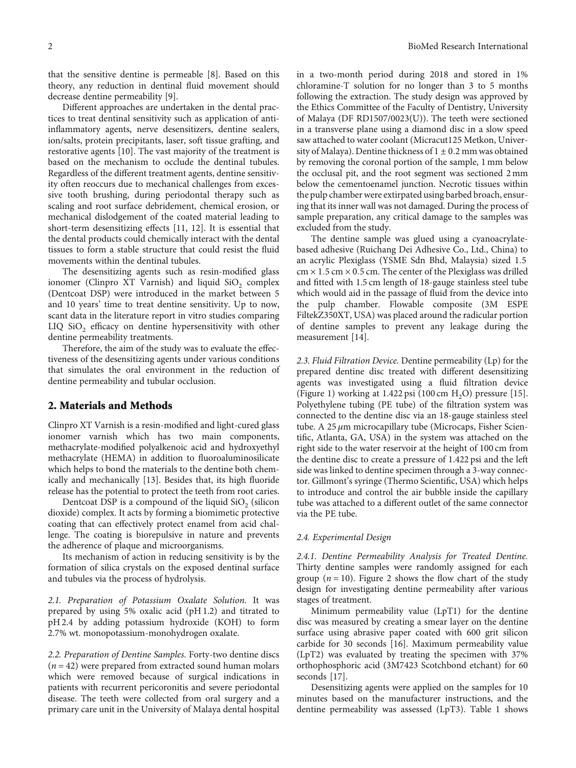that the sensitive dentine is permeable [\[8](#page-11-0)]. Based on this theory, any reduction in dentinal fluid movement should decrease dentine permeability [\[9\]](#page-11-0).

Different approaches are undertaken in the dental practices to treat dentinal sensitivity such as application of antiinflammatory agents, nerve desensitizers, dentine sealers, ion/salts, protein precipitants, laser, soft tissue grafting, and restorative agents [[10\]](#page-11-0). The vast majority of the treatment is based on the mechanism to occlude the dentinal tubules. Regardless of the different treatment agents, dentine sensitivity often reoccurs due to mechanical challenges from excessive tooth brushing, during periodontal therapy such as scaling and root surface debridement, chemical erosion, or mechanical dislodgement of the coated material leading to short-term desensitizing effects [[11](#page-11-0), [12\]](#page-11-0). It is essential that the dental products could chemically interact with the dental tissues to form a stable structure that could resist the fluid movements within the dentinal tubules.

The desensitizing agents such as resin-modified glass ionomer (Clinpro XT Varnish) and liquid  $\text{SiO}_2$  complex (Dentcoat DSP) were introduced in the market between 5 and 10 years' time to treat dentine sensitivity. Up to now, scant data in the literature report in vitro studies comparing LIQ  $SiO<sub>2</sub>$  efficacy on dentine hypersensitivity with other dentine permeability treatments.

Therefore, the aim of the study was to evaluate the effectiveness of the desensitizing agents under various conditions that simulates the oral environment in the reduction of dentine permeability and tubular occlusion.

#### 2. Materials and Methods

Clinpro XT Varnish is a resin-modified and light-cured glass ionomer varnish which has two main components, methacrylate-modified polyalkenoic acid and hydroxyethyl methacrylate (HEMA) in addition to fluoroaluminosilicate which helps to bond the materials to the dentine both chemically and mechanically [\[13\]](#page-11-0). Besides that, its high fluoride release has the potential to protect the teeth from root caries.

Dentcoat DSP is a compound of the liquid  $\rm SiO_2$  (silicon dioxide) complex. It acts by forming a biomimetic protective coating that can effectively protect enamel from acid challenge. The coating is biorepulsive in nature and prevents the adherence of plaque and microorganisms.

Its mechanism of action in reducing sensitivity is by the formation of silica crystals on the exposed dentinal surface and tubules via the process of hydrolysis.

2.1. Preparation of Potassium Oxalate Solution. It was prepared by using 5% oxalic acid (pH 1.2) and titrated to pH 2.4 by adding potassium hydroxide (KOH) to form 2.7% wt. monopotassium-monohydrogen oxalate.

2.2. Preparation of Dentine Samples. Forty-two dentine discs (*n* = 42) were prepared from extracted sound human molars which were removed because of surgical indications in patients with recurrent pericoronitis and severe periodontal disease. The teeth were collected from oral surgery and a primary care unit in the University of Malaya dental hospital

in a two-month period during 2018 and stored in 1% chloramine-T solution for no longer than 3 to 5 months following the extraction. The study design was approved by the Ethics Committee of the Faculty of Dentistry, University of Malaya (DF RD1507/0023(U)). The teeth were sectioned in a transverse plane using a diamond disc in a slow speed saw attached to water coolant (Micracut125 Metkon, University of Malaya). Dentine thickness of 1±0*:*2 mm was obtained by removing the coronal portion of the sample, 1 mm below the occlusal pit, and the root segment was sectioned 2 mm below the cementoenamel junction. Necrotic tissues within the pulp chamber were extirpated using barbed broach, ensuring that its inner wall was not damaged. During the process of sample preparation, any critical damage to the samples was excluded from the study.

The dentine sample was glued using a cyanoacrylatebased adhesive (Ruichang Dei Adhesive Co., Ltd., China) to an acrylic Plexiglass (YSME Sdn Bhd, Malaysia) sized 1*:*5 cm × 1*:*5 cm × 0*:*5 cm. The center of the Plexiglass was drilled and fitted with 1.5 cm length of 18-gauge stainless steel tube which would aid in the passage of fluid from the device into the pulp chamber. Flowable composite (3M ESPE FiltekZ350XT, USA) was placed around the radicular portion of dentine samples to prevent any leakage during the measurement [\[14\]](#page-11-0).

2.3. Fluid Filtration Device. Dentine permeability (Lp) for the prepared dentine disc treated with different desensitizing agents was investigated using a fluid filtration device (Figure [1\)](#page-2-0) working at 1.422 psi (100 cm  $H_2O$ ) pressure [[15](#page-11-0)]. Polyethylene tubing (PE tube) of the filtration system was connected to the dentine disc via an 18-gauge stainless steel tube. A 25 *μ*m microcapillary tube (Microcaps, Fisher Scientific, Atlanta, GA, USA) in the system was attached on the right side to the water reservoir at the height of 100 cm from the dentine disc to create a pressure of 1.422 psi and the left side was linked to dentine specimen through a 3-way connector. Gillmont's syringe (Thermo Scientific, USA) which helps to introduce and control the air bubble inside the capillary tube was attached to a different outlet of the same connector via the PE tube.

#### 2.4. Experimental Design

2.4.1. Dentine Permeability Analysis for Treated Dentine. Thirty dentine samples were randomly assigned for each group  $(n = 10)$ . Figure [2](#page-2-0) shows the flow chart of the study design for investigating dentine permeability after various stages of treatment.

Minimum permeability value (LpT1) for the dentine disc was measured by creating a smear layer on the dentine surface using abrasive paper coated with 600 grit silicon carbide for 30 seconds [[16\]](#page-11-0). Maximum permeability value (LpT2) was evaluated by treating the specimen with 37% orthophosphoric acid (3M7423 Scotchbond etchant) for 60 seconds [[17](#page-11-0)].

Desensitizing agents were applied on the samples for 10 minutes based on the manufacturer instructions, and the dentine permeability was assessed (LpT3). Table [1](#page-3-0) shows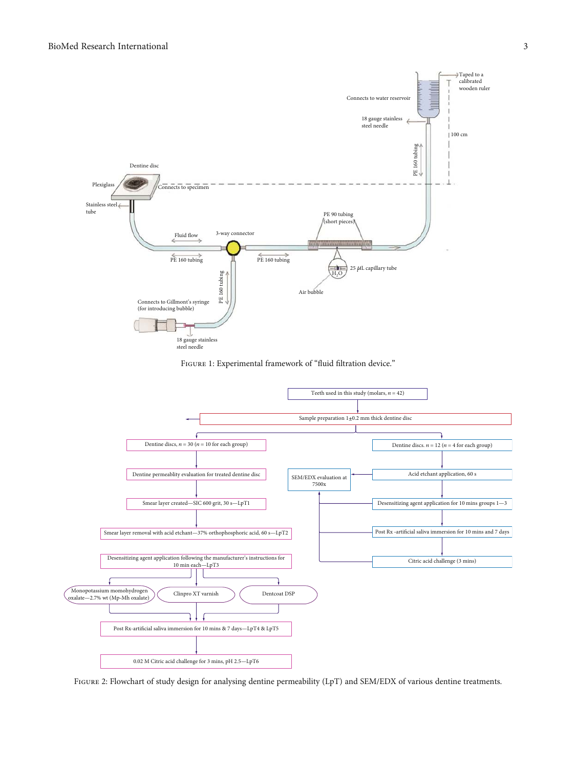<span id="page-2-0"></span>





Figure 2: Flowchart of study design for analysing dentine permeability (LpT) and SEM/EDX of various dentine treatments.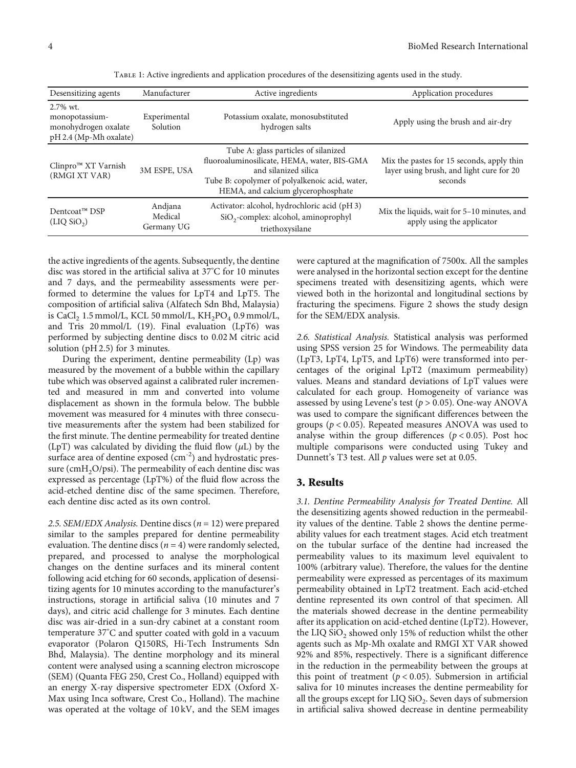<span id="page-3-0"></span>

| Desensitizing agents                                                            | Manufacturer                     | Active ingredients                                                                                                                                                                                  | Application procedures                                                                           |  |
|---------------------------------------------------------------------------------|----------------------------------|-----------------------------------------------------------------------------------------------------------------------------------------------------------------------------------------------------|--------------------------------------------------------------------------------------------------|--|
| $2.7\%$ wt.<br>monopotassium-<br>monohydrogen oxalate<br>pH 2.4 (Mp-Mh oxalate) | Experimental<br>Solution         | Potassium oxalate, monosubstituted<br>hydrogen salts                                                                                                                                                | Apply using the brush and air-dry                                                                |  |
| Clinpro <sup>™</sup> XT Varnish<br>(RMGI XT VAR)                                | 3M ESPE, USA                     | Tube A: glass particles of silanized<br>fluoroaluminosilicate, HEMA, water, BIS-GMA<br>and silanized silica<br>Tube B: copolymer of polyalkenoic acid, water,<br>HEMA, and calcium glycerophosphate | Mix the pastes for 15 seconds, apply thin<br>layer using brush, and light cure for 20<br>seconds |  |
| Dentcoat™ DSP<br>(LIQ SiO <sub>2</sub> )                                        | Andjana<br>Medical<br>Germany UG | Activator: alcohol, hydrochloric acid (pH3)<br>SiO <sub>2</sub> -complex: alcohol, aminoprophyl<br>triethoxysilane                                                                                  | Mix the liquids, wait for 5-10 minutes, and<br>apply using the applicator                        |  |

Table 1: Active ingredients and application procedures of the desensitizing agents used in the study.

the active ingredients of the agents. Subsequently, the dentine disc was stored in the artificial saliva at 37°C for 10 minutes and 7 days, and the permeability assessments were performed to determine the values for LpT4 and LpT5. The composition of artificial saliva (Alfatech Sdn Bhd, Malaysia) is CaCl<sub>2</sub> 1.5 mmol/L, KCL 50 mmol/L,  $KH_2PO_4$  0.9 mmol/L, and Tris 20 mmol/L (19). Final evaluation (LpT6) was performed by subjecting dentine discs to 0.02 M citric acid solution (pH 2.5) for 3 minutes.

During the experiment, dentine permeability (Lp) was measured by the movement of a bubble within the capillary tube which was observed against a calibrated ruler incremented and measured in mm and converted into volume displacement as shown in the formula below. The bubble movement was measured for 4 minutes with three consecutive measurements after the system had been stabilized for the first minute. The dentine permeability for treated dentine (LpT) was calculated by dividing the fluid flow  $(\mu L)$  by the surface area of dentine exposed  $\rm (cm^{-2})$  and hydrostatic pressure ( $cmH<sub>2</sub>O/psi$ ). The permeability of each dentine disc was expressed as percentage (LpT%) of the fluid flow across the acid-etched dentine disc of the same specimen. Therefore, each dentine disc acted as its own control.

2.5. SEM/EDX Analysis. Dentine discs (*n* = 12) were prepared similar to the samples prepared for dentine permeability evaluation. The dentine discs  $(n = 4)$  were randomly selected, prepared, and processed to analyse the morphological changes on the dentine surfaces and its mineral content following acid etching for 60 seconds, application of desensitizing agents for 10 minutes according to the manufacturer's instructions, storage in artificial saliva (10 minutes and 7 days), and citric acid challenge for 3 minutes. Each dentine disc was air-dried in a sun-dry cabinet at a constant room temperature 37°C and sputter coated with gold in a vacuum evaporator (Polaron Q150RS, Hi-Tech Instruments Sdn Bhd, Malaysia). The dentine morphology and its mineral content were analysed using a scanning electron microscope (SEM) (Quanta FEG 250, Crest Co., Holland) equipped with an energy X-ray dispersive spectrometer EDX (Oxford X-Max using Inca software, Crest Co., Holland). The machine was operated at the voltage of 10 kV, and the SEM images were captured at the magnification of 7500x. All the samples were analysed in the horizontal section except for the dentine specimens treated with desensitizing agents, which were viewed both in the horizontal and longitudinal sections by fracturing the specimens. Figure [2](#page-2-0) shows the study design for the SEM/EDX analysis.

2.6. Statistical Analysis. Statistical analysis was performed using SPSS version 25 for Windows. The permeability data (LpT3, LpT4, LpT5, and LpT6) were transformed into percentages of the original LpT2 (maximum permeability) values. Means and standard deviations of LpT values were calculated for each group. Homogeneity of variance was assessed by using Levene's test (*p* > 0*:*05). One-way ANOVA was used to compare the significant differences between the groups (*p* < 0*:*05). Repeated measures ANOVA was used to analyse within the group differences  $(p < 0.05)$ . Post hoc multiple comparisons were conducted using Tukey and Dunnett's T3 test. All *p* values were set at 0.05.

#### 3. Results

3.1. Dentine Permeability Analysis for Treated Dentine. All the desensitizing agents showed reduction in the permeability values of the dentine. Table [2](#page-4-0) shows the dentine permeability values for each treatment stages. Acid etch treatment on the tubular surface of the dentine had increased the permeability values to its maximum level equivalent to 100% (arbitrary value). Therefore, the values for the dentine permeability were expressed as percentages of its maximum permeability obtained in LpT2 treatment. Each acid-etched dentine represented its own control of that specimen. All the materials showed decrease in the dentine permeability after its application on acid-etched dentine (LpT2). However, the LIQ  $\rm SiO_2$  showed only 15% of reduction whilst the other agents such as Mp-Mh oxalate and RMGI XT VAR showed 92% and 85%, respectively. There is a significant difference in the reduction in the permeability between the groups at this point of treatment  $(p < 0.05)$ . Submersion in artificial saliva for 10 minutes increases the dentine permeability for all the groups except for LIQ  $SiO_2$ . Seven days of submersion in artificial saliva showed decrease in dentine permeability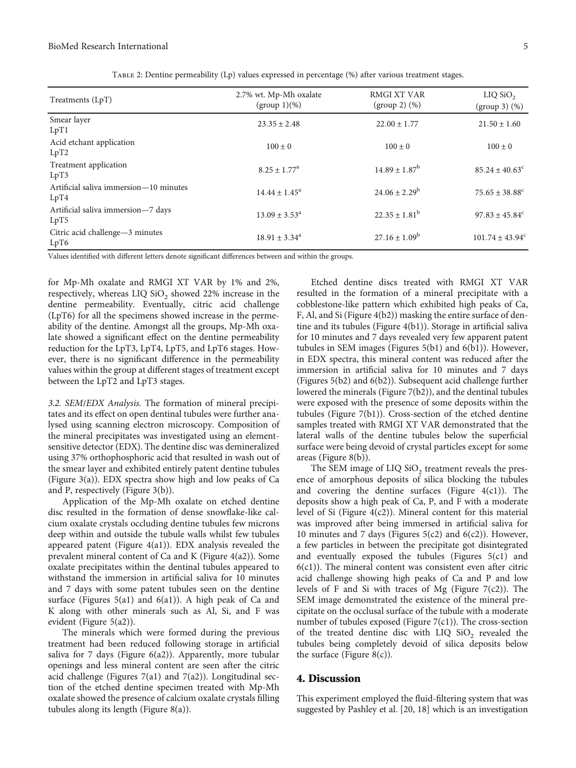<span id="page-4-0"></span>

| Treatments (LpT)                               | 2.7% wt. Mp-Mh oxalate<br>(group 1)(%) | RMGI XT VAR<br>$(group 2)$ $(\%)$ | $LIQ$ SiO <sub>2</sub><br>$(group 3)$ $(\%)$ |
|------------------------------------------------|----------------------------------------|-----------------------------------|----------------------------------------------|
| Smear layer<br>LpT1                            | $23.35 \pm 2.48$                       | $22.00 \pm 1.77$                  | $21.50 \pm 1.60$                             |
| Acid etchant application<br>LpT2               | $100 \pm 0$                            | $100 \pm 0$                       | $100 \pm 0$                                  |
| Treatment application<br>LpT3                  | $8.25 \pm 1.77^{\rm a}$                | $14.89 \pm 1.87^b$                | $85.24 \pm 40.63^{\circ}$                    |
| Artificial saliva immersion-10 minutes<br>LpT4 | $14.44 \pm 1.45^{\circ}$               | $24.06 \pm 2.29^b$                | $75.65 \pm 38.88^c$                          |
| Artificial saliva immersion-7 days<br>LpT5     | $13.09 \pm 3.53^{\circ}$               | $22.35 \pm 1.81^b$                | $97.83 \pm 45.84$ <sup>c</sup>               |
| Citric acid challenge-3 minutes<br>LpT6        | $18.91 \pm 3.34^{\circ}$               | $27.16 \pm 1.09^b$                | $101.74 \pm 43.94^{\circ}$                   |

Table 2: Dentine permeability (Lp) values expressed in percentage (%) after various treatment stages.

Values identified with different letters denote significant differences between and within the groups.

for Mp-Mh oxalate and RMGI XT VAR by 1% and 2%, respectively, whereas LIQ  $\mathrm{SiO}_2$  showed 22% increase in the dentine permeability. Eventually, citric acid challenge (LpT6) for all the specimens showed increase in the permeability of the dentine. Amongst all the groups, Mp-Mh oxalate showed a significant effect on the dentine permeability reduction for the LpT3, LpT4, LpT5, and LpT6 stages. However, there is no significant difference in the permeability values within the group at different stages of treatment except between the LpT2 and LpT3 stages.

3.2. SEM/EDX Analysis. The formation of mineral precipitates and its effect on open dentinal tubules were further analysed using scanning electron microscopy. Composition of the mineral precipitates was investigated using an elementsensitive detector (EDX). The dentine disc was demineralized using 37% orthophosphoric acid that resulted in wash out of the smear layer and exhibited entirely patent dentine tubules (Figure [3](#page-5-0)(a)). EDX spectra show high and low peaks of Ca and P, respectively (Figure [3\(](#page-5-0)b)).

Application of the Mp-Mh oxalate on etched dentine disc resulted in the formation of dense snowflake-like calcium oxalate crystals occluding dentine tubules few microns deep within and outside the tubule walls whilst few tubules appeared patent (Figure [4](#page-6-0)(a1)). EDX analysis revealed the prevalent mineral content of Ca and K (Figure [4\(](#page-6-0)a2)). Some oxalate precipitates within the dentinal tubules appeared to withstand the immersion in artificial saliva for 10 minutes and 7 days with some patent tubules seen on the dentine surface (Figures [5\(](#page-7-0)a1) and [6\(](#page-8-0)a1)). A high peak of Ca and K along with other minerals such as Al, Si, and F was evident (Figure [5](#page-7-0)(a2)).

The minerals which were formed during the previous treatment had been reduced following storage in artificial saliva for 7 days (Figure [6](#page-8-0)(a2)). Apparently, more tubular openings and less mineral content are seen after the citric acid challenge (Figures [7\(](#page-9-0)a1) and [7](#page-9-0)(a2)). Longitudinal section of the etched dentine specimen treated with Mp-Mh oxalate showed the presence of calcium oxalate crystals filling tubules along its length (Figure [8\(a\)](#page-10-0)).

Etched dentine discs treated with RMGI XT VAR resulted in the formation of a mineral precipitate with a cobblestone-like pattern which exhibited high peaks of Ca, F, Al, and Si (Figure [4](#page-6-0)(b2)) masking the entire surface of dentine and its tubules (Figure [4\(](#page-6-0)b1)). Storage in artificial saliva for 10 minutes and 7 days revealed very few apparent patent tubules in SEM images (Figures [5](#page-7-0)(b1) and [6\(](#page-8-0)b1)). However, in EDX spectra, this mineral content was reduced after the immersion in artificial saliva for 10 minutes and 7 days (Figures [5\(](#page-7-0)b2) and [6](#page-8-0)(b2)). Subsequent acid challenge further lowered the minerals (Figure [7\(](#page-9-0)b2)), and the dentinal tubules were exposed with the presence of some deposits within the tubules (Figure [7\(](#page-9-0)b1)). Cross-section of the etched dentine samples treated with RMGI XT VAR demonstrated that the lateral walls of the dentine tubules below the superficial surface were being devoid of crystal particles except for some areas (Figure [8\(b\)](#page-10-0)).

The SEM image of LIQ  $\text{SiO}_2$  treatment reveals the presence of amorphous deposits of silica blocking the tubules and covering the dentine surfaces (Figure  $4(c1)$ ). The deposits show a high peak of Ca, P, and F with a moderate level of Si (Figure [4\(](#page-6-0)c2)). Mineral content for this material was improved after being immersed in artificial saliva for 10 minutes and 7 days (Figures  $5(c2)$  and  $6(c2)$ ). However, a few particles in between the precipitate got disintegrated and eventually exposed the tubules (Figures [5\(](#page-7-0)c1) and  $6(c1)$ ). The mineral content was consistent even after citric acid challenge showing high peaks of Ca and P and low levels of F and Si with traces of Mg (Figure  $7(c2)$ ). The SEM image demonstrated the existence of the mineral precipitate on the occlusal surface of the tubule with a moderate number of tubules exposed (Figure [7](#page-9-0)(c1)). The cross-section of the treated dentine disc with LIQ  $SiO_2$  revealed the tubules being completely devoid of silica deposits below the surface (Figure  $8(c)$ ).

#### 4. Discussion

This experiment employed the fluid-filtering system that was suggested by Pashley et al. [20, [18](#page-11-0)] which is an investigation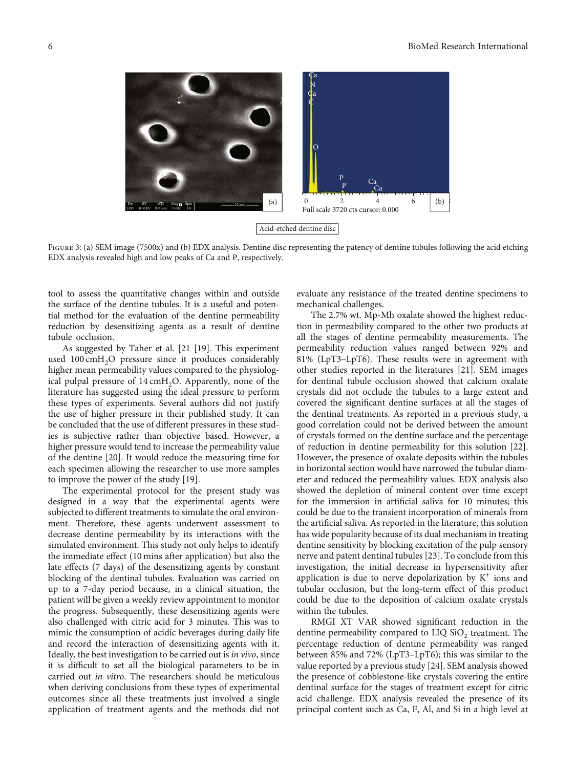<span id="page-5-0"></span>

FIGURE 3: (a) SEM image (7500x) and (b) EDX analysis. Dentine disc representing the patency of dentine tubules following the acid etching EDX analysis revealed high and low peaks of Ca and P, respectively.

tool to assess the quantitative changes within and outside the surface of the dentine tubules. It is a useful and potential method for the evaluation of the dentine permeability reduction by desensitizing agents as a result of dentine tubule occlusion.

As suggested by Taher et al. [21 [\[19](#page-11-0)]. This experiment used 100 cmH<sub>2</sub>O pressure since it produces considerably higher mean permeability values compared to the physiological pulpal pressure of  $14 \text{ cm}H_2O$ . Apparently, none of the literature has suggested using the ideal pressure to perform these types of experiments. Several authors did not justify the use of higher pressure in their published study. It can be concluded that the use of different pressures in these studies is subjective rather than objective based. However, a higher pressure would tend to increase the permeability value of the dentine [\[20\]](#page-11-0). It would reduce the measuring time for each specimen allowing the researcher to use more samples to improve the power of the study [\[19\]](#page-11-0).

The experimental protocol for the present study was designed in a way that the experimental agents were subjected to different treatments to simulate the oral environment. Therefore, these agents underwent assessment to decrease dentine permeability by its interactions with the simulated environment. This study not only helps to identify the immediate effect (10 mins after application) but also the late effects (7 days) of the desensitizing agents by constant blocking of the dentinal tubules. Evaluation was carried on up to a 7-day period because, in a clinical situation, the patient will be given a weekly review appointment to monitor the progress. Subsequently, these desensitizing agents were also challenged with citric acid for 3 minutes. This was to mimic the consumption of acidic beverages during daily life and record the interaction of desensitizing agents with it. Ideally, the best investigation to be carried out is in vivo, since it is difficult to set all the biological parameters to be in carried out in vitro. The researchers should be meticulous when deriving conclusions from these types of experimental outcomes since all these treatments just involved a single application of treatment agents and the methods did not evaluate any resistance of the treated dentine specimens to mechanical challenges.

The 2.7% wt. Mp-Mh oxalate showed the highest reduction in permeability compared to the other two products at all the stages of dentine permeability measurements. The permeability reduction values ranged between 92% and 81% (LpT3–LpT6). These results were in agreement with other studies reported in the literatures [\[21\]](#page-11-0). SEM images for dentinal tubule occlusion showed that calcium oxalate crystals did not occlude the tubules to a large extent and covered the significant dentine surfaces at all the stages of the dentinal treatments. As reported in a previous study, a good correlation could not be derived between the amount of crystals formed on the dentine surface and the percentage of reduction in dentine permeability for this solution [[22](#page-11-0)]. However, the presence of oxalate deposits within the tubules in horizontal section would have narrowed the tubular diameter and reduced the permeability values. EDX analysis also showed the depletion of mineral content over time except for the immersion in artificial saliva for 10 minutes; this could be due to the transient incorporation of minerals from the artificial saliva. As reported in the literature, this solution has wide popularity because of its dual mechanism in treating dentine sensitivity by blocking excitation of the pulp sensory nerve and patent dentinal tubules [[23](#page-11-0)]. To conclude from this investigation, the initial decrease in hypersensitivity after application is due to nerve depolarization by  $K^+$  ions and tubular occlusion, but the long-term effect of this product could be due to the deposition of calcium oxalate crystals within the tubules.

RMGI XT VAR showed significant reduction in the dentine permeability compared to  $LIQ$   $SiO<sub>2</sub>$  treatment. The percentage reduction of dentine permeability was ranged between 85% and 72% (LpT3–LpT6); this was similar to the value reported by a previous study [[24](#page-11-0)]. SEM analysis showed the presence of cobblestone-like crystals covering the entire dentinal surface for the stages of treatment except for citric acid challenge. EDX analysis revealed the presence of its principal content such as Ca, F, Al, and Si in a high level at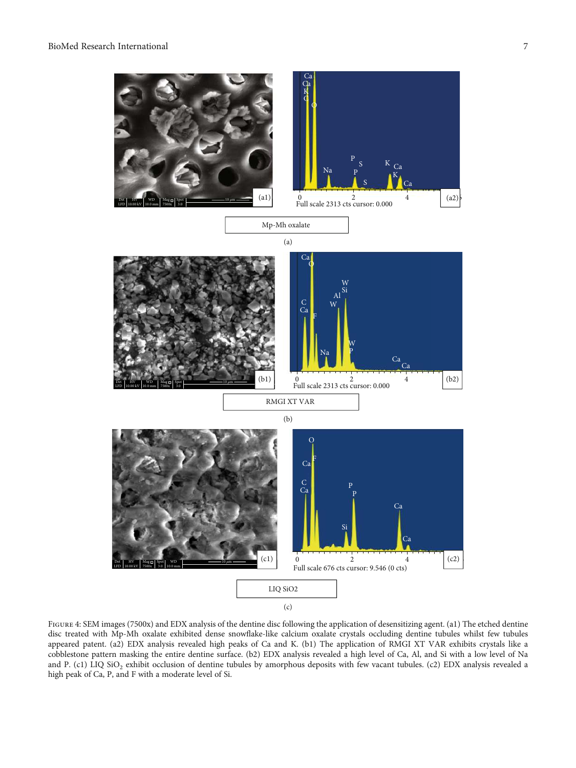<span id="page-6-0"></span>

FIGURE 4: SEM images (7500x) and EDX analysis of the dentine disc following the application of desensitizing agent. (a1) The etched dentine disc treated with Mp-Mh oxalate exhibited dense snowflake-like calcium oxalate crystals occluding dentine tubules whilst few tubules appeared patent. (a2) EDX analysis revealed high peaks of Ca and K. (b1) The application of RMGI XT VAR exhibits crystals like a cobblestone pattern masking the entire dentine surface. (b2) EDX analysis revealed a high level of Ca, Al, and Si with a low level of Na and P. (c1) LIQ SiO<sub>2</sub> exhibit occlusion of dentine tubules by amorphous deposits with few vacant tubules. (c2) EDX analysis revealed a high peak of Ca, P, and F with a moderate level of Si.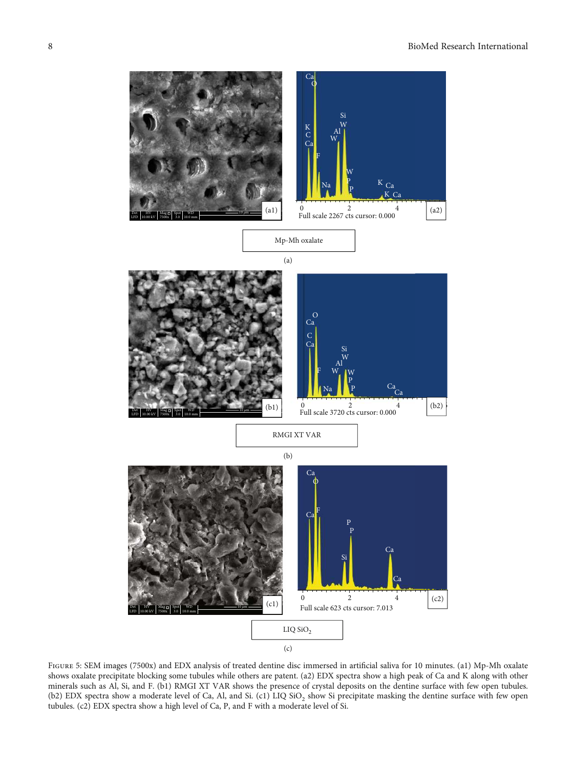<span id="page-7-0"></span>

Figure 5: SEM images (7500x) and EDX analysis of treated dentine disc immersed in artificial saliva for 10 minutes. (a1) Mp-Mh oxalate shows oxalate precipitate blocking some tubules while others are patent. (a2) EDX spectra show a high peak of Ca and K along with other minerals such as Al, Si, and F. (b1) RMGI XT VAR shows the presence of crystal deposits on the dentine surface with few open tubules. (b2) EDX spectra show a moderate level of Ca, Al, and Si. (c1) LIQ  $SiO_2$  show Si precipitate masking the dentine surface with few open tubules. (c2) EDX spectra show a high level of Ca, P, and F with a moderate level of Si.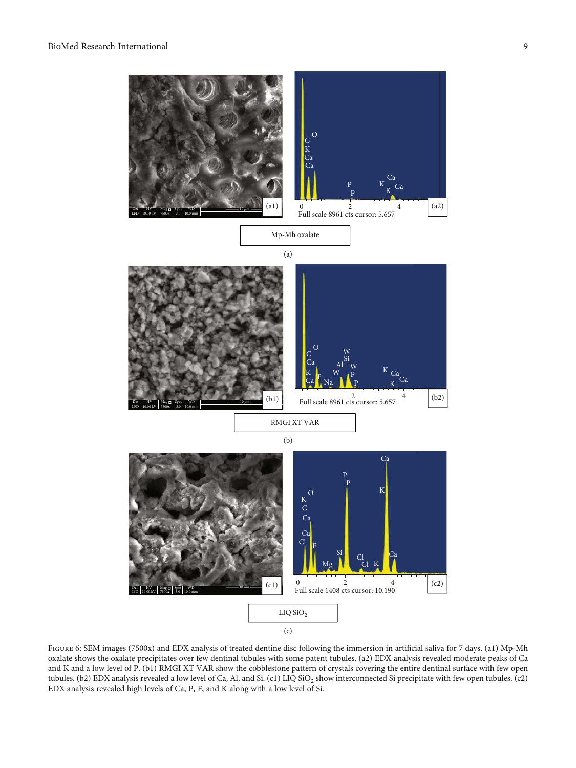<span id="page-8-0"></span>

Figure 6: SEM images (7500x) and EDX analysis of treated dentine disc following the immersion in artificial saliva for 7 days. (a1) Mp-Mh oxalate shows the oxalate precipitates over few dentinal tubules with some patent tubules. (a2) EDX analysis revealed moderate peaks of Ca and K and a low level of P. (b1) RMGI XT VAR show the cobblestone pattern of crystals covering the entire dentinal surface with few open tubules. (b2) EDX analysis revealed a low level of Ca, Al, and Si. (c1) LIQ SiO<sub>2</sub> show interconnected Si precipitate with few open tubules. (c2) EDX analysis revealed high levels of Ca, P, F, and K along with a low level of Si.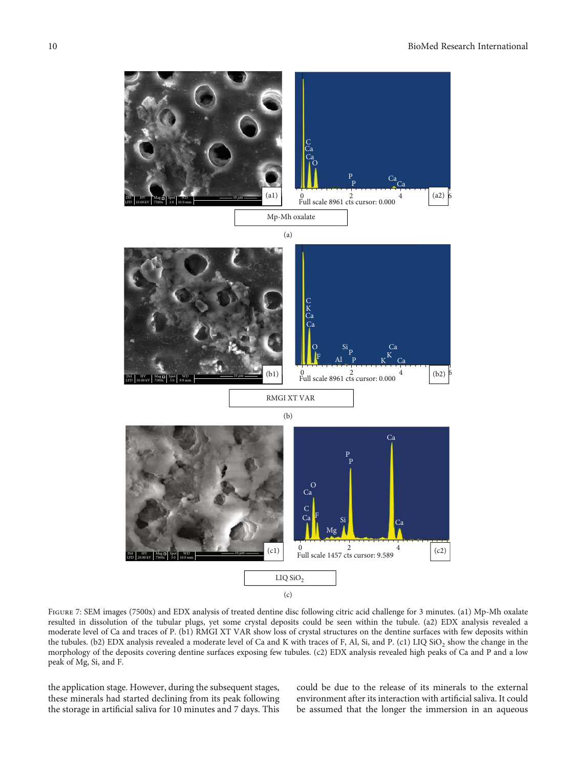<span id="page-9-0"></span>

FIGURE 7: SEM images (7500x) and EDX analysis of treated dentine disc following citric acid challenge for 3 minutes. (a1) Mp-Mh oxalate resulted in dissolution of the tubular plugs, yet some crystal deposits could be seen within the tubule. (a2) EDX analysis revealed a moderate level of Ca and traces of P. (b1) RMGI XT VAR show loss of crystal structures on the dentine surfaces with few deposits within the tubules. (b2) EDX analysis revealed a moderate level of Ca and K with traces of F, Al, Si, and P. (c1) LIQ SiO<sub>2</sub> show the change in the morphology of the deposits covering dentine surfaces exposing few tubules. (c2) EDX analysis revealed high peaks of Ca and P and a low peak of Mg, Si, and F.

the application stage. However, during the subsequent stages, these minerals had started declining from its peak following the storage in artificial saliva for 10 minutes and 7 days. This

could be due to the release of its minerals to the external environment after its interaction with artificial saliva. It could be assumed that the longer the immersion in an aqueous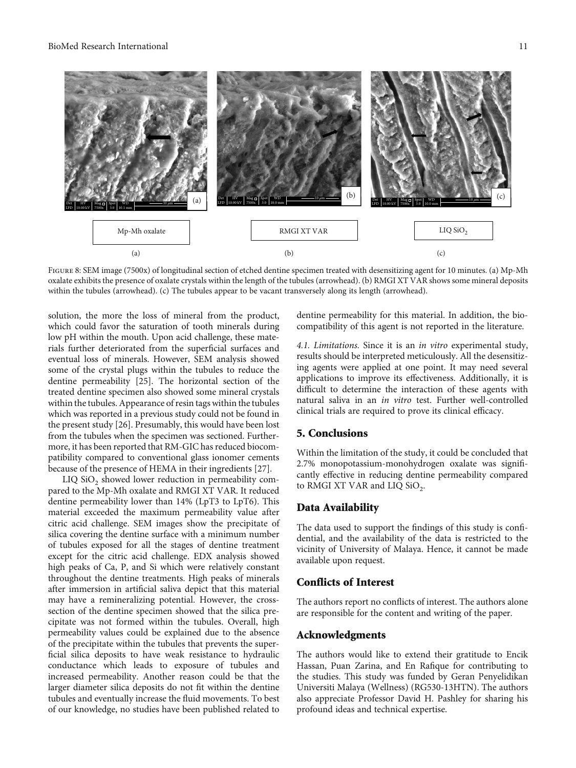<span id="page-10-0"></span>

FIGURE 8: SEM image (7500x) of longitudinal section of etched dentine specimen treated with desensitizing agent for 10 minutes. (a) Mp-Mh oxalate exhibits the presence of oxalate crystals within the length of the tubules (arrowhead). (b) RMGI XT VAR shows some mineral deposits within the tubules (arrowhead). (c) The tubules appear to be vacant transversely along its length (arrowhead).

solution, the more the loss of mineral from the product, which could favor the saturation of tooth minerals during low pH within the mouth. Upon acid challenge, these materials further deteriorated from the superficial surfaces and eventual loss of minerals. However, SEM analysis showed some of the crystal plugs within the tubules to reduce the dentine permeability [[25](#page-11-0)]. The horizontal section of the treated dentine specimen also showed some mineral crystals within the tubules. Appearance of resin tags within the tubules which was reported in a previous study could not be found in the present study [\[26\]](#page-11-0). Presumably, this would have been lost from the tubules when the specimen was sectioned. Furthermore, it has been reported that RM-GIC has reduced biocompatibility compared to conventional glass ionomer cements because of the presence of HEMA in their ingredients [\[27\]](#page-11-0).

 $LIQ$   $SiO<sub>2</sub>$  showed lower reduction in permeability compared to the Mp-Mh oxalate and RMGI XT VAR. It reduced dentine permeability lower than 14% (LpT3 to LpT6). This material exceeded the maximum permeability value after citric acid challenge. SEM images show the precipitate of silica covering the dentine surface with a minimum number of tubules exposed for all the stages of dentine treatment except for the citric acid challenge. EDX analysis showed high peaks of Ca, P, and Si which were relatively constant throughout the dentine treatments. High peaks of minerals after immersion in artificial saliva depict that this material may have a remineralizing potential. However, the crosssection of the dentine specimen showed that the silica precipitate was not formed within the tubules. Overall, high permeability values could be explained due to the absence of the precipitate within the tubules that prevents the superficial silica deposits to have weak resistance to hydraulic conductance which leads to exposure of tubules and increased permeability. Another reason could be that the larger diameter silica deposits do not fit within the dentine tubules and eventually increase the fluid movements. To best of our knowledge, no studies have been published related to dentine permeability for this material. In addition, the biocompatibility of this agent is not reported in the literature.

4.1. Limitations. Since it is an in vitro experimental study, results should be interpreted meticulously. All the desensitizing agents were applied at one point. It may need several applications to improve its effectiveness. Additionally, it is difficult to determine the interaction of these agents with natural saliva in an in vitro test. Further well-controlled clinical trials are required to prove its clinical efficacy.

#### 5. Conclusions

Within the limitation of the study, it could be concluded that 2.7% monopotassium-monohydrogen oxalate was significantly effective in reducing dentine permeability compared to RMGI XT VAR and LIQ  $SiO_2$ .

#### Data Availability

The data used to support the findings of this study is confidential, and the availability of the data is restricted to the vicinity of University of Malaya. Hence, it cannot be made available upon request.

#### Conflicts of Interest

The authors report no conflicts of interest. The authors alone are responsible for the content and writing of the paper.

#### Acknowledgments

The authors would like to extend their gratitude to Encik Hassan, Puan Zarina, and En Rafique for contributing to the studies. This study was funded by Geran Penyelidikan Universiti Malaya (Wellness) (RG530-13HTN). The authors also appreciate Professor David H. Pashley for sharing his profound ideas and technical expertise.